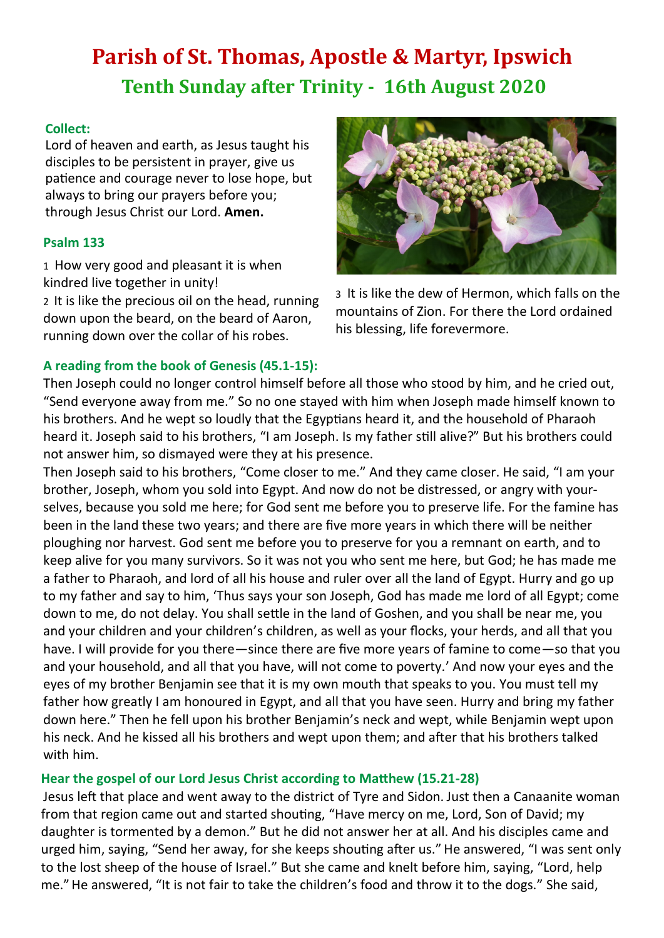# **Parish of St. Thomas, Apostle & Martyr, Ipswich Tenth Sunday after Trinity - 16th August 2020**

## **Collect:**

Lord of heaven and earth, as Jesus taught his disciples to be persistent in prayer, give us patience and courage never to lose hope, but always to bring our prayers before you; through Jesus Christ our Lord. **Amen.**

## **Psalm 133**

1 How very good and pleasant it is when kindred live together in unity!

2 It is like the precious oil on the head, running down upon the beard, on the beard of Aaron, running down over the collar of his robes.



3 It is like the dew of Hermon, which falls on the mountains of Zion. For there the Lord ordained his blessing, life forevermore.

## **A reading from the book of Genesis (45.1-15):**

Then Joseph could no longer control himself before all those who stood by him, and he cried out, "Send everyone away from me." So no one stayed with him when Joseph made himself known to his brothers. And he wept so loudly that the Egyptians heard it, and the household of Pharaoh heard it. Joseph said to his brothers, "I am Joseph. Is my father still alive?" But his brothers could not answer him, so dismayed were they at his presence.

Then Joseph said to his brothers, "Come closer to me." And they came closer. He said, "I am your brother, Joseph, whom you sold into Egypt. And now do not be distressed, or angry with yourselves, because you sold me here; for God sent me before you to preserve life. For the famine has been in the land these two years; and there are five more years in which there will be neither ploughing nor harvest. God sent me before you to preserve for you a remnant on earth, and to keep alive for you many survivors. So it was not you who sent me here, but God; he has made me a father to Pharaoh, and lord of all his house and ruler over all the land of Egypt. Hurry and go up to my father and say to him, 'Thus says your son Joseph, God has made me lord of all Egypt; come down to me, do not delay. You shall settle in the land of Goshen, and you shall be near me, you and your children and your children's children, as well as your flocks, your herds, and all that you have. I will provide for you there—since there are five more years of famine to come—so that you and your household, and all that you have, will not come to poverty.' And now your eyes and the eyes of my brother Benjamin see that it is my own mouth that speaks to you. You must tell my father how greatly I am honoured in Egypt, and all that you have seen. Hurry and bring my father down here." Then he fell upon his brother Benjamin's neck and wept, while Benjamin wept upon his neck. And he kissed all his brothers and wept upon them; and after that his brothers talked with him.

## **Hear the gospel of our Lord Jesus Christ according to Matthew (15.21-28)**

Jesus left that place and went away to the district of Tyre and Sidon. Just then a Canaanite woman from that region came out and started shouting, "Have mercy on me, Lord, Son of David; my daughter is tormented by a demon." But he did not answer her at all. And his disciples came and urged him, saying, "Send her away, for she keeps shouting after us." He answered, "I was sent only to the lost sheep of the house of Israel." But she came and knelt before him, saying, "Lord, help me."He answered, "It is not fair to take the children's food and throw it to the dogs." She said,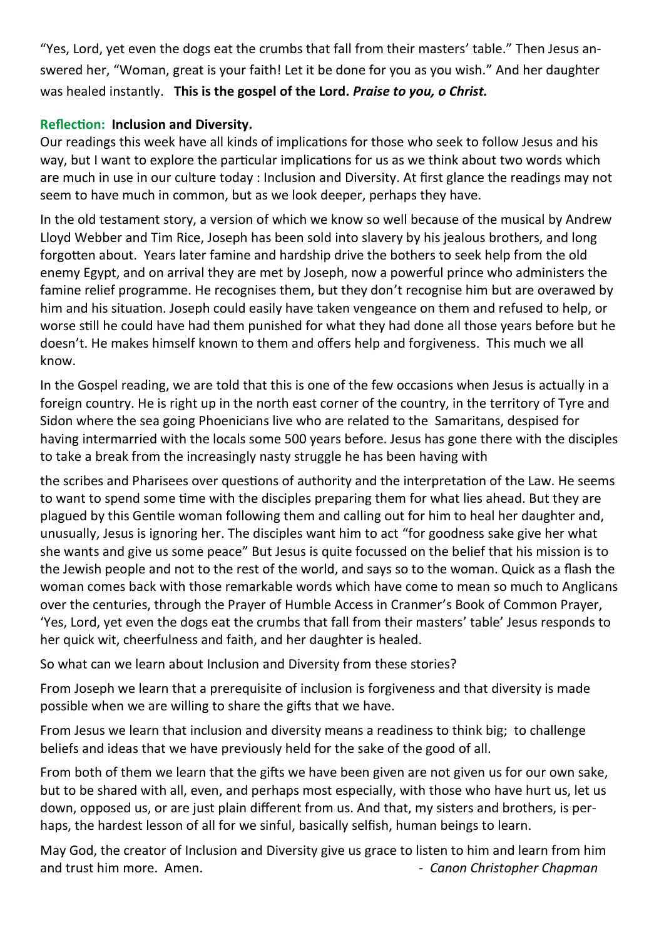"Yes, Lord, yet even the dogs eat the crumbs that fall from their masters' table." Then Jesus answered her, "Woman, great is your faith! Let it be done for you as you wish." And her daughter was healed instantly. **This is the gospel of the Lord.** *Praise to you, o Christ.*

## **Reflection: Inclusion and Diversity.**

Our readings this week have all kinds of implications for those who seek to follow Jesus and his way, but I want to explore the particular implications for us as we think about two words which are much in use in our culture today : Inclusion and Diversity. At first glance the readings may not seem to have much in common, but as we look deeper, perhaps they have.

In the old testament story, a version of which we know so well because of the musical by Andrew Lloyd Webber and Tim Rice, Joseph has been sold into slavery by his jealous brothers, and long forgotten about. Years later famine and hardship drive the bothers to seek help from the old enemy Egypt, and on arrival they are met by Joseph, now a powerful prince who administers the famine relief programme. He recognises them, but they don't recognise him but are overawed by him and his situation. Joseph could easily have taken vengeance on them and refused to help, or worse still he could have had them punished for what they had done all those years before but he doesn't. He makes himself known to them and offers help and forgiveness. This much we all know.

In the Gospel reading, we are told that this is one of the few occasions when Jesus is actually in a foreign country. He is right up in the north east corner of the country, in the territory of Tyre and Sidon where the sea going Phoenicians live who are related to the Samaritans, despised for having intermarried with the locals some 500 years before. Jesus has gone there with the disciples to take a break from the increasingly nasty struggle he has been having with

the scribes and Pharisees over questions of authority and the interpretation of the Law. He seems to want to spend some time with the disciples preparing them for what lies ahead. But they are plagued by this Gentile woman following them and calling out for him to heal her daughter and, unusually, Jesus is ignoring her. The disciples want him to act "for goodness sake give her what she wants and give us some peace" But Jesus is quite focussed on the belief that his mission is to the Jewish people and not to the rest of the world, and says so to the woman. Quick as a flash the woman comes back with those remarkable words which have come to mean so much to Anglicans over the centuries, through the Prayer of Humble Access in Cranmer's Book of Common Prayer, 'Yes, Lord, yet even the dogs eat the crumbs that fall from their masters' table' Jesus responds to her quick wit, cheerfulness and faith, and her daughter is healed.

So what can we learn about Inclusion and Diversity from these stories?

From Joseph we learn that a prerequisite of inclusion is forgiveness and that diversity is made possible when we are willing to share the gifts that we have.

From Jesus we learn that inclusion and diversity means a readiness to think big; to challenge beliefs and ideas that we have previously held for the sake of the good of all.

From both of them we learn that the gifts we have been given are not given us for our own sake, but to be shared with all, even, and perhaps most especially, with those who have hurt us, let us down, opposed us, or are just plain different from us. And that, my sisters and brothers, is perhaps, the hardest lesson of all for we sinful, basically selfish, human beings to learn.

May God, the creator of Inclusion and Diversity give us grace to listen to him and learn from him and trust him more. Amen. *Amen. Canon Christopher Chapman*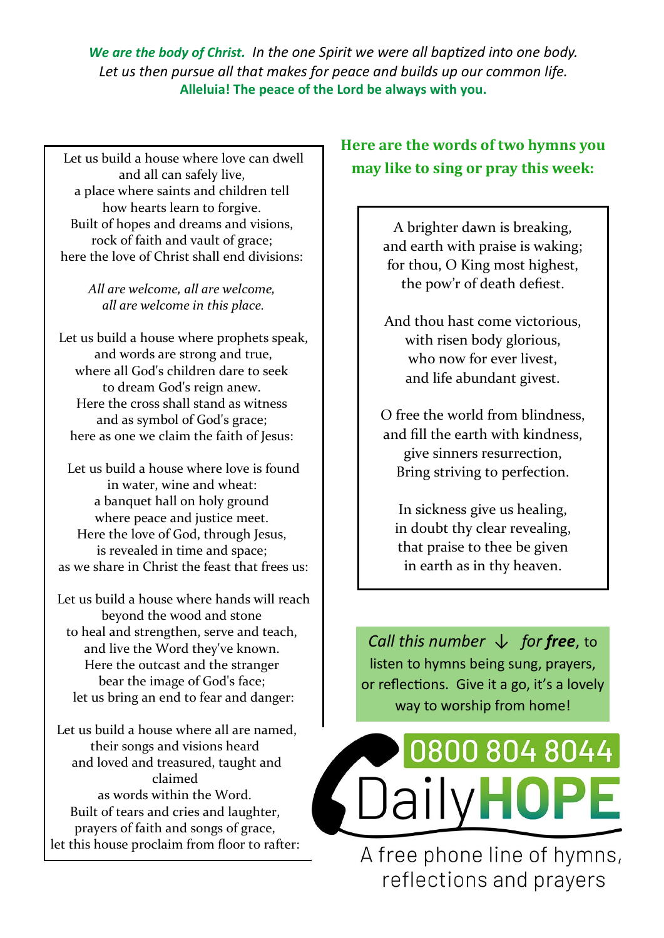*We are the body of Christ. In the one Spirit we were all baptized into one body. Let us then pursue all that makes for peace and builds up our common life.*  **Alleluia! The peace of the Lord be always with you.**

and all can safely live, a place where saints and children tell how hearts learn to forgive. Built of hopes and dreams and visions, rock of faith and vault of grace; here the love of Christ shall end divisions:

> *All are welcome, all are welcome, all are welcome in this place.*

Let us build a house where prophets speak, and words are strong and true, where all God's children dare to seek to dream God's reign anew. Here the cross shall stand as witness and as symbol of God's grace; here as one we claim the faith of Jesus:

Let us build a house where love is found in water, wine and wheat: a banquet hall on holy ground where peace and justice meet. Here the love of God, through Jesus, is revealed in time and space; as we share in Christ the feast that frees us:

Let us build a house where hands will reach beyond the wood and stone to heal and strengthen, serve and teach, and live the Word they've known. Here the outcast and the stranger bear the image of God's face; let us bring an end to fear and danger:

Let us build a house where all are named, their songs and visions heard and loved and treasured, taught and claimed as words within the Word. Built of tears and cries and laughter, prayers of faith and songs of grace, let this house proclaim from floor to rafter:

## **Here are the words of two hymns you**  Let us build a house where love can dwell<br>**may like to sing or pray this week:**

A brighter dawn is breaking, and earth with praise is waking; for thou, O King most highest, the pow'r of death defiest.

And thou hast come victorious, with risen body glorious, who now for ever livest, and life abundant givest.

O free the world from blindness, and fill the earth with kindness, give sinners resurrection, Bring striving to perfection.

In sickness give us healing, in doubt thy clear revealing, that praise to thee be given in earth as in thy heaven.

*Call this number* ↓ *for free*, to listen to hymns being sung, prayers, or reflections. Give it a go, it's a lovely way to worship from home!



A free phone line of hymns, reflections and prayers